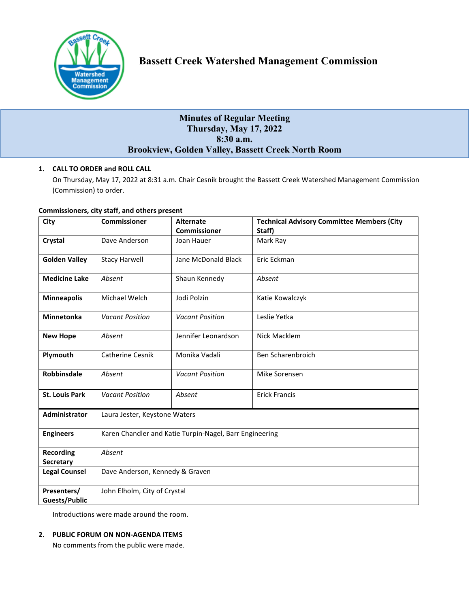

# **Minutes of Regular Meeting Thursday, May 17, 2022 8:30 a.m. Brookview, Golden Valley, Bassett Creek North Room**

## **1. CALL TO ORDER and ROLL CALL**

On Thursday, May 17, 2022 at 8:31 a.m. Chair Cesnik brought the Bassett Creek Watershed Management Commission (Commission) to order.

#### **Commissioners, city staff, and others present**

| City                  | <b>Commissioner</b>                                     | <b>Alternate</b>       | <b>Technical Advisory Committee Members (City</b> |
|-----------------------|---------------------------------------------------------|------------------------|---------------------------------------------------|
|                       |                                                         | <b>Commissioner</b>    | Staff)                                            |
| Crystal               | Dave Anderson                                           | Joan Hauer             | Mark Ray                                          |
| <b>Golden Valley</b>  | <b>Stacy Harwell</b>                                    | Jane McDonald Black    | Eric Eckman                                       |
| <b>Medicine Lake</b>  | Absent                                                  | Shaun Kennedy          | Absent                                            |
| <b>Minneapolis</b>    | Michael Welch                                           | Jodi Polzin            | Katie Kowalczyk                                   |
| Minnetonka            | <b>Vacant Position</b>                                  | <b>Vacant Position</b> | Leslie Yetka                                      |
| <b>New Hope</b>       | Absent                                                  | Jennifer Leonardson    | Nick Macklem                                      |
| Plymouth              | <b>Catherine Cesnik</b>                                 | Monika Vadali          | Ben Scharenbroich                                 |
| <b>Robbinsdale</b>    | Absent                                                  | <b>Vacant Position</b> | Mike Sorensen                                     |
| <b>St. Louis Park</b> | <b>Vacant Position</b>                                  | Absent                 | <b>Erick Francis</b>                              |
| Administrator         | Laura Jester, Keystone Waters                           |                        |                                                   |
| <b>Engineers</b>      | Karen Chandler and Katie Turpin-Nagel, Barr Engineering |                        |                                                   |
| <b>Recording</b>      | Absent                                                  |                        |                                                   |
| <b>Secretary</b>      |                                                         |                        |                                                   |
| <b>Legal Counsel</b>  | Dave Anderson, Kennedy & Graven                         |                        |                                                   |
| Presenters/           | John Elholm, City of Crystal                            |                        |                                                   |
| <b>Guests/Public</b>  |                                                         |                        |                                                   |

Introductions were made around the room.

### **2. PUBLIC FORUM ON NON-AGENDA ITEMS**

No comments from the public were made.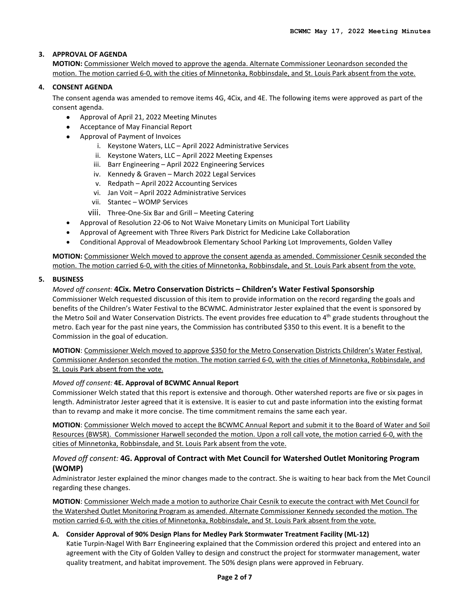### **3. APPROVAL OF AGENDA**

**MOTION:** Commissioner Welch moved to approve the agenda. Alternate Commissioner Leonardson seconded the motion. The motion carried 6-0, with the cities of Minnetonka, Robbinsdale, and St. Louis Park absent from the vote.

#### **4. CONSENT AGENDA**

The consent agenda was amended to remove items 4G, 4Cix, and 4E. The following items were approved as part of the consent agenda.

- Approval of April 21, 2022 Meeting Minutes
- Acceptance of May Financial Report
- Approval of Payment of Invoices
	- i. Keystone Waters, LLC April 2022 Administrative Services
	- ii. Keystone Waters, LLC April 2022 Meeting Expenses
	- iii. Barr Engineering April 2022 Engineering Services
	- iv. Kennedy & Graven March 2022 Legal Services
	- v. Redpath April 2022 Accounting Services
	- vi. Jan Voit April 2022 Administrative Services
	- vii. Stantec WOMP Services
	- viii. Three-One-Six Bar and Grill Meeting Catering
- Approval of Resolution 22-06 to Not Waive Monetary Limits on Municipal Tort Liability
- Approval of Agreement with Three Rivers Park District for Medicine Lake Collaboration
- Conditional Approval of Meadowbrook Elementary School Parking Lot Improvements, Golden Valley

**MOTION:** Commissioner Welch moved to approve the consent agenda as amended. Commissioner Cesnik seconded the motion. The motion carried 6-0, with the cities of Minnetonka, Robbinsdale, and St. Louis Park absent from the vote.

### **5. BUSINESS**

### *Moved off consent:* **4Cix. Metro Conservation Districts – Children's Water Festival Sponsorship**

Commissioner Welch requested discussion of this item to provide information on the record regarding the goals and benefits of the Children's Water Festival to the BCWMC. Administrator Jester explained that the event is sponsored by the Metro Soil and Water Conservation Districts. The event provides free education to 4<sup>th</sup> grade students throughout the metro. Each year for the past nine years, the Commission has contributed \$350 to this event. It is a benefit to the Commission in the goal of education.

**MOTION**: Commissioner Welch moved to approve \$350 for the Metro Conservation Districts Children's Water Festival. Commissioner Anderson seconded the motion. The motion carried 6-0, with the cities of Minnetonka, Robbinsdale, and St. Louis Park absent from the vote.

### *Moved off consent:* **4E. Approval of BCWMC Annual Report**

Commissioner Welch stated that this report is extensive and thorough. Other watershed reports are five or six pages in length. Administrator Jester agreed that it is extensive. It is easier to cut and paste information into the existing format than to revamp and make it more concise. The time commitment remains the same each year.

**MOTION**: Commissioner Welch moved to accept the BCWMC Annual Report and submit it to the Board of Water and Soil Resources (BWSR). Commissioner Harwell seconded the motion. Upon a roll call vote, the motion carried 6-0, with the cities of Minnetonka, Robbinsdale, and St. Louis Park absent from the vote.

### *Moved off consent:* **4G. Approval of Contract with Met Council for Watershed Outlet Monitoring Program (WOMP)**

Administrator Jester explained the minor changes made to the contract. She is waiting to hear back from the Met Council regarding these changes.

**MOTION**: Commissioner Welch made a motion to authorize Chair Cesnik to execute the contract with Met Council for the Watershed Outlet Monitoring Program as amended. Alternate Commissioner Kennedy seconded the motion. The motion carried 6-0, with the cities of Minnetonka, Robbinsdale, and St. Louis Park absent from the vote.

### **A. Consider Approval of 90% Design Plans for Medley Park Stormwater Treatment Facility (ML-12)**

Katie Turpin-Nagel With Barr Engineering explained that the Commission ordered this project and entered into an agreement with the City of Golden Valley to design and construct the project for stormwater management, water quality treatment, and habitat improvement. The 50% design plans were approved in February.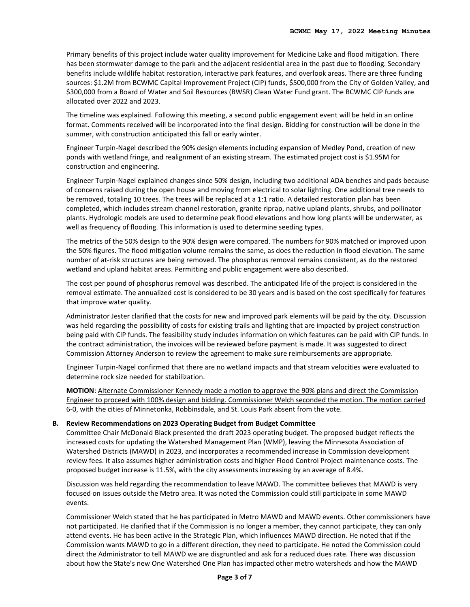Primary benefits of this project include water quality improvement for Medicine Lake and flood mitigation. There has been stormwater damage to the park and the adjacent residential area in the past due to flooding. Secondary benefits include wildlife habitat restoration, interactive park features, and overlook areas. There are three funding sources: \$1.2M from BCWMC Capital Improvement Project (CIP) funds, \$500,000 from the City of Golden Valley, and \$300,000 from a Board of Water and Soil Resources (BWSR) Clean Water Fund grant. The BCWMC CIP funds are allocated over 2022 and 2023.

The timeline was explained. Following this meeting, a second public engagement event will be held in an online format. Comments received will be incorporated into the final design. Bidding for construction will be done in the summer, with construction anticipated this fall or early winter.

Engineer Turpin-Nagel described the 90% design elements including expansion of Medley Pond, creation of new ponds with wetland fringe, and realignment of an existing stream. The estimated project cost is \$1.95M for construction and engineering.

Engineer Turpin-Nagel explained changes since 50% design, including two additional ADA benches and pads because of concerns raised during the open house and moving from electrical to solar lighting. One additional tree needs to be removed, totaling 10 trees. The trees will be replaced at a 1:1 ratio. A detailed restoration plan has been completed, which includes stream channel restoration, granite riprap, native upland plants, shrubs, and pollinator plants. Hydrologic models are used to determine peak flood elevations and how long plants will be underwater, as well as frequency of flooding. This information is used to determine seeding types.

The metrics of the 50% design to the 90% design were compared. The numbers for 90% matched or improved upon the 50% figures. The flood mitigation volume remains the same, as does the reduction in flood elevation. The same number of at-risk structures are being removed. The phosphorus removal remains consistent, as do the restored wetland and upland habitat areas. Permitting and public engagement were also described.

The cost per pound of phosphorus removal was described. The anticipated life of the project is considered in the removal estimate. The annualized cost is considered to be 30 years and is based on the cost specifically for features that improve water quality.

Administrator Jester clarified that the costs for new and improved park elements will be paid by the city. Discussion was held regarding the possibility of costs for existing trails and lighting that are impacted by project construction being paid with CIP funds. The feasibility study includes information on which features can be paid with CIP funds. In the contract administration, the invoices will be reviewed before payment is made. It was suggested to direct Commission Attorney Anderson to review the agreement to make sure reimbursements are appropriate.

Engineer Turpin-Nagel confirmed that there are no wetland impacts and that stream velocities were evaluated to determine rock size needed for stabilization.

**MOTION**: Alternate Commissioner Kennedy made a motion to approve the 90% plans and direct the Commission Engineer to proceed with 100% design and bidding. Commissioner Welch seconded the motion. The motion carried 6-0, with the cities of Minnetonka, Robbinsdale, and St. Louis Park absent from the vote.

#### **B. Review Recommendations on 2023 Operating Budget from Budget Committee**

Committee Chair McDonald Black presented the draft 2023 operating budget. The proposed budget reflects the increased costs for updating the Watershed Management Plan (WMP), leaving the Minnesota Association of Watershed Districts (MAWD) in 2023, and incorporates a recommended increase in Commission development review fees. It also assumes higher administration costs and higher Flood Control Project maintenance costs. The proposed budget increase is 11.5%, with the city assessments increasing by an average of 8.4%.

Discussion was held regarding the recommendation to leave MAWD. The committee believes that MAWD is very focused on issues outside the Metro area. It was noted the Commission could still participate in some MAWD events.

Commissioner Welch stated that he has participated in Metro MAWD and MAWD events. Other commissioners have not participated. He clarified that if the Commission is no longer a member, they cannot participate, they can only attend events. He has been active in the Strategic Plan, which influences MAWD direction. He noted that if the Commission wants MAWD to go in a different direction, they need to participate. He noted the Commission could direct the Administrator to tell MAWD we are disgruntled and ask for a reduced dues rate. There was discussion about how the State's new One Watershed One Plan has impacted other metro watersheds and how the MAWD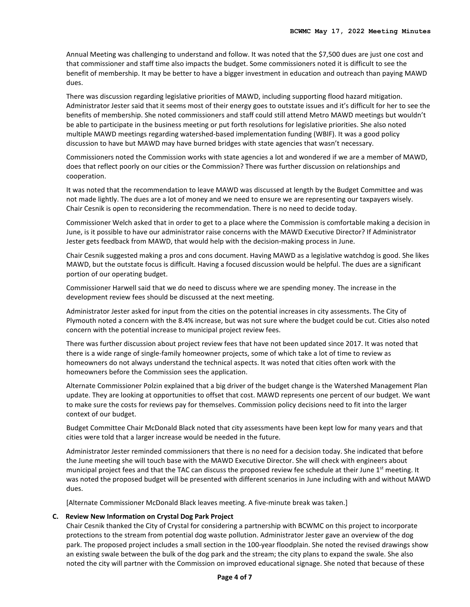Annual Meeting was challenging to understand and follow. It was noted that the \$7,500 dues are just one cost and that commissioner and staff time also impacts the budget. Some commissioners noted it is difficult to see the benefit of membership. It may be better to have a bigger investment in education and outreach than paying MAWD dues.

There was discussion regarding legislative priorities of MAWD, including supporting flood hazard mitigation. Administrator Jester said that it seems most of their energy goes to outstate issues and it's difficult for her to see the benefits of membership. She noted commissioners and staff could still attend Metro MAWD meetings but wouldn't be able to participate in the business meeting or put forth resolutions for legislative priorities. She also noted multiple MAWD meetings regarding watershed-based implementation funding (WBIF). It was a good policy discussion to have but MAWD may have burned bridges with state agencies that wasn't necessary.

Commissioners noted the Commission works with state agencies a lot and wondered if we are a member of MAWD, does that reflect poorly on our cities or the Commission? There was further discussion on relationships and cooperation.

It was noted that the recommendation to leave MAWD was discussed at length by the Budget Committee and was not made lightly. The dues are a lot of money and we need to ensure we are representing our taxpayers wisely. Chair Cesnik is open to reconsidering the recommendation. There is no need to decide today.

Commissioner Welch asked that in order to get to a place where the Commission is comfortable making a decision in June, is it possible to have our administrator raise concerns with the MAWD Executive Director? If Administrator Jester gets feedback from MAWD, that would help with the decision-making process in June.

Chair Cesnik suggested making a pros and cons document. Having MAWD as a legislative watchdog is good. She likes MAWD, but the outstate focus is difficult. Having a focused discussion would be helpful. The dues are a significant portion of our operating budget.

Commissioner Harwell said that we do need to discuss where we are spending money. The increase in the development review fees should be discussed at the next meeting.

Administrator Jester asked for input from the cities on the potential increases in city assessments. The City of Plymouth noted a concern with the 8.4% increase, but was not sure where the budget could be cut. Cities also noted concern with the potential increase to municipal project review fees.

There was further discussion about project review fees that have not been updated since 2017. It was noted that there is a wide range of single-family homeowner projects, some of which take a lot of time to review as homeowners do not always understand the technical aspects. It was noted that cities often work with the homeowners before the Commission sees the application.

Alternate Commissioner Polzin explained that a big driver of the budget change is the Watershed Management Plan update. They are looking at opportunities to offset that cost. MAWD represents one percent of our budget. We want to make sure the costs for reviews pay for themselves. Commission policy decisions need to fit into the larger context of our budget.

Budget Committee Chair McDonald Black noted that city assessments have been kept low for many years and that cities were told that a larger increase would be needed in the future.

Administrator Jester reminded commissioners that there is no need for a decision today. She indicated that before the June meeting she will touch base with the MAWD Executive Director. She will check with engineers about municipal project fees and that the TAC can discuss the proposed review fee schedule at their June  $1<sup>st</sup>$  meeting. It was noted the proposed budget will be presented with different scenarios in June including with and without MAWD dues.

[Alternate Commissioner McDonald Black leaves meeting. A five-minute break was taken.]

#### **C. Review New Information on Crystal Dog Park Project**

Chair Cesnik thanked the City of Crystal for considering a partnership with BCWMC on this project to incorporate protections to the stream from potential dog waste pollution. Administrator Jester gave an overview of the dog park. The proposed project includes a small section in the 100-year floodplain. She noted the revised drawings show an existing swale between the bulk of the dog park and the stream; the city plans to expand the swale. She also noted the city will partner with the Commission on improved educational signage. She noted that because of these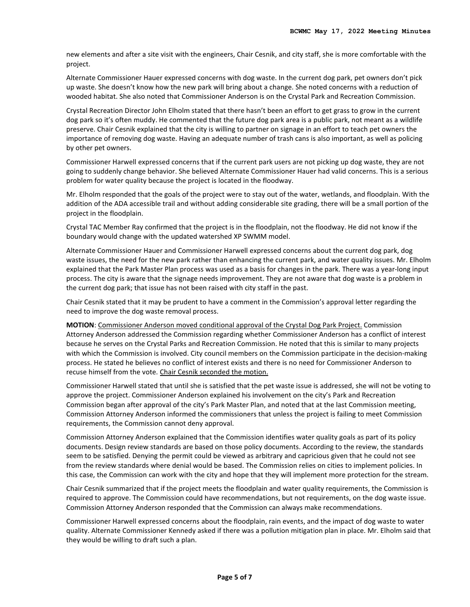new elements and after a site visit with the engineers, Chair Cesnik, and city staff, she is more comfortable with the project.

Alternate Commissioner Hauer expressed concerns with dog waste. In the current dog park, pet owners don't pick up waste. She doesn't know how the new park will bring about a change. She noted concerns with a reduction of wooded habitat. She also noted that Commissioner Anderson is on the Crystal Park and Recreation Commission.

Crystal Recreation Director John Elholm stated that there hasn't been an effort to get grass to grow in the current dog park so it's often muddy. He commented that the future dog park area is a public park, not meant as a wildlife preserve. Chair Cesnik explained that the city is willing to partner on signage in an effort to teach pet owners the importance of removing dog waste. Having an adequate number of trash cans is also important, as well as policing by other pet owners.

Commissioner Harwell expressed concerns that if the current park users are not picking up dog waste, they are not going to suddenly change behavior. She believed Alternate Commissioner Hauer had valid concerns. This is a serious problem for water quality because the project is located in the floodway.

Mr. Elholm responded that the goals of the project were to stay out of the water, wetlands, and floodplain. With the addition of the ADA accessible trail and without adding considerable site grading, there will be a small portion of the project in the floodplain.

Crystal TAC Member Ray confirmed that the project is in the floodplain, not the floodway. He did not know if the boundary would change with the updated watershed XP SWMM model.

Alternate Commissioner Hauer and Commissioner Harwell expressed concerns about the current dog park, dog waste issues, the need for the new park rather than enhancing the current park, and water quality issues. Mr. Elholm explained that the Park Master Plan process was used as a basis for changes in the park. There was a year-long input process. The city is aware that the signage needs improvement. They are not aware that dog waste is a problem in the current dog park; that issue has not been raised with city staff in the past.

Chair Cesnik stated that it may be prudent to have a comment in the Commission's approval letter regarding the need to improve the dog waste removal process.

**MOTION**: Commissioner Anderson moved conditional approval of the Crystal Dog Park Project. Commission Attorney Anderson addressed the Commission regarding whether Commissioner Anderson has a conflict of interest because he serves on the Crystal Parks and Recreation Commission. He noted that this is similar to many projects with which the Commission is involved. City council members on the Commission participate in the decision-making process. He stated he believes no conflict of interest exists and there is no need for Commissioner Anderson to recuse himself from the vote. Chair Cesnik seconded the motion.

Commissioner Harwell stated that until she is satisfied that the pet waste issue is addressed, she will not be voting to approve the project. Commissioner Anderson explained his involvement on the city's Park and Recreation Commission began after approval of the city's Park Master Plan, and noted that at the last Commission meeting, Commission Attorney Anderson informed the commissioners that unless the project is failing to meet Commission requirements, the Commission cannot deny approval.

Commission Attorney Anderson explained that the Commission identifies water quality goals as part of its policy documents. Design review standards are based on those policy documents. According to the review, the standards seem to be satisfied. Denying the permit could be viewed as arbitrary and capricious given that he could not see from the review standards where denial would be based. The Commission relies on cities to implement policies. In this case, the Commission can work with the city and hope that they will implement more protection for the stream.

Chair Cesnik summarized that if the project meets the floodplain and water quality requirements, the Commission is required to approve. The Commission could have recommendations, but not requirements, on the dog waste issue. Commission Attorney Anderson responded that the Commission can always make recommendations.

Commissioner Harwell expressed concerns about the floodplain, rain events, and the impact of dog waste to water quality. Alternate Commissioner Kennedy asked if there was a pollution mitigation plan in place. Mr. Elholm said that they would be willing to draft such a plan.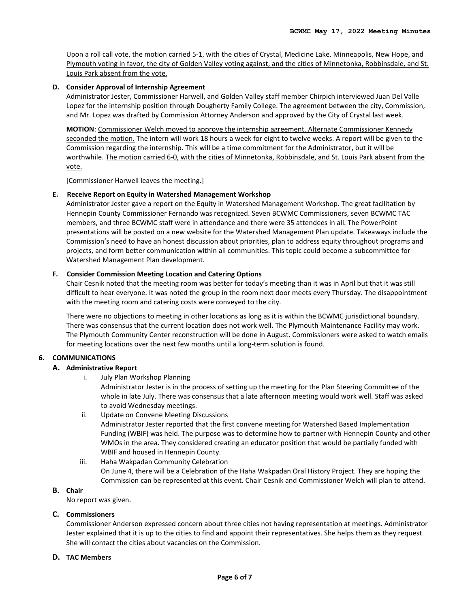Upon a roll call vote, the motion carried 5-1, with the cities of Crystal, Medicine Lake, Minneapolis, New Hope, and Plymouth voting in favor, the city of Golden Valley voting against, and the cities of Minnetonka, Robbinsdale, and St. Louis Park absent from the vote.

#### **D. Consider Approval of Internship Agreement**

Administrator Jester, Commissioner Harwell, and Golden Valley staff member Chirpich interviewed Juan Del Valle Lopez for the internship position through Dougherty Family College. The agreement between the city, Commission, and Mr. Lopez was drafted by Commission Attorney Anderson and approved by the City of Crystal last week.

**MOTION**: Commissioner Welch moved to approve the internship agreement. Alternate Commissioner Kennedy seconded the motion. The intern will work 18 hours a week for eight to twelve weeks. A report will be given to the Commission regarding the internship. This will be a time commitment for the Administrator, but it will be worthwhile. The motion carried 6-0, with the cities of Minnetonka, Robbinsdale, and St. Louis Park absent from the vote.

[Commissioner Harwell leaves the meeting.]

#### **E. Receive Report on Equity in Watershed Management Workshop**

Administrator Jester gave a report on the Equity in Watershed Management Workshop. The great facilitation by Hennepin County Commissioner Fernando was recognized. Seven BCWMC Commissioners, seven BCWMC TAC members, and three BCWMC staff were in attendance and there were 35 attendees in all. The PowerPoint presentations will be posted on a new website for the Watershed Management Plan update. Takeaways include the Commission's need to have an honest discussion about priorities, plan to address equity throughout programs and projects, and form better communication within all communities. This topic could become a subcommittee for Watershed Management Plan development.

### **F. Consider Commission Meeting Location and Catering Options**

Chair Cesnik noted that the meeting room was better for today's meeting than it was in April but that it was still difficult to hear everyone. It was noted the group in the room next door meets every Thursday. The disappointment with the meeting room and catering costs were conveyed to the city.

There were no objections to meeting in other locations as long as it is within the BCWMC jurisdictional boundary. There was consensus that the current location does not work well. The Plymouth Maintenance Facility may work. The Plymouth Community Center reconstruction will be done in August. Commissioners were asked to watch emails for meeting locations over the next few months until a long-term solution is found.

### **6. COMMUNICATIONS**

### **A. Administrative Report**

i. July Plan Workshop Planning

Administrator Jester is in the process of setting up the meeting for the Plan Steering Committee of the whole in late July. There was consensus that a late afternoon meeting would work well. Staff was asked to avoid Wednesday meetings.

- ii. Update on Convene Meeting Discussions Administrator Jester reported that the first convene meeting for Watershed Based Implementation Funding (WBIF) was held. The purpose was to determine how to partner with Hennepin County and other WMOs in the area. They considered creating an educator position that would be partially funded with WBIF and housed in Hennepin County.
- iii. Haha Wakpadan Community Celebration On June 4, there will be a Celebration of the Haha Wakpadan Oral History Project. They are hoping the Commission can be represented at this event. Chair Cesnik and Commissioner Welch will plan to attend.

## **B. Chair**

No report was given.

#### **C. Commissioners**

Commissioner Anderson expressed concern about three cities not having representation at meetings. Administrator Jester explained that it is up to the cities to find and appoint their representatives. She helps them as they request. She will contact the cities about vacancies on the Commission.

#### **D. TAC Members**